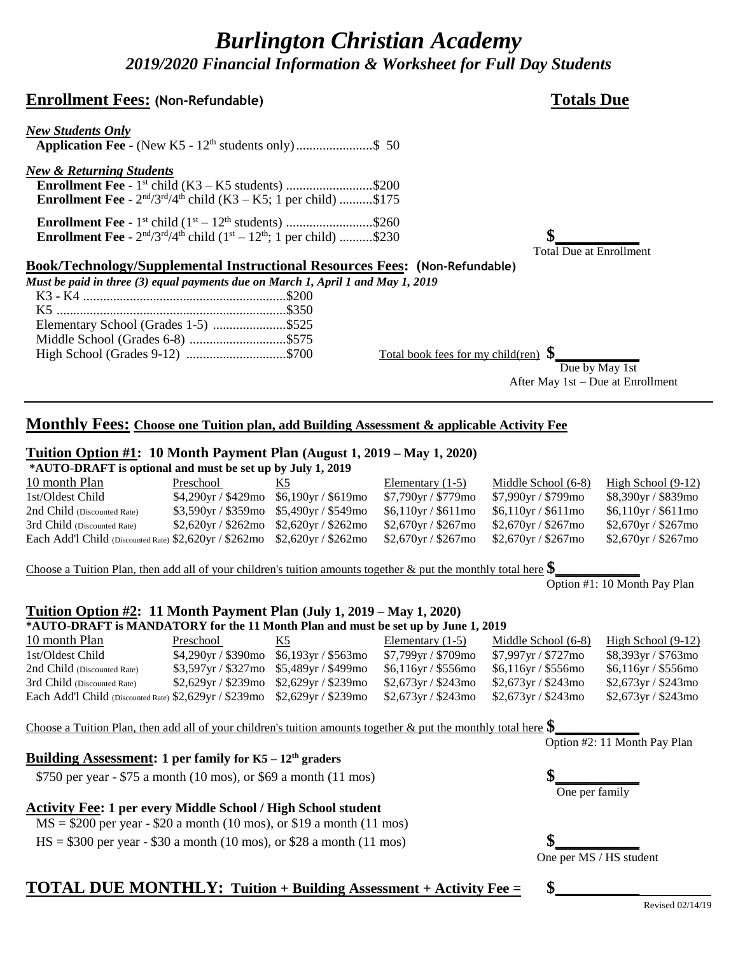## *Burlington Christian Academy 2019/2020 Financial Information & Worksheet for Full Day Students*

#### **Enrollment Fees: (Non-Refundable) Totals Due**

# *New Students Only*  **Application Fee -** (New K5 - 12th students only).......................\$ 50 *New & Returning Students*

**Enrollment Fee** - 1<sup>st</sup> child (K3 – K5 students) ...........................\$200 **Enrollment Fee** -  $2^{nd}/3^{rd}/4^{th}$  child (K3 – K5; 1 per child) ..........\$175

**Enrollment Fee** -  $1^{st}$  child  $(1^{st} - 12^{th}$  students) ...........................\$260 **Enrollment Fee** -  $2^{nd}/3^{rd}/4^{th}$  child ( $1^{st} - 12^{th}$ ; 1 per child) ..........\$230 **\$\_\_\_\_\_\_\_\_\_\_\_** 

#### **Book/Technology/Supplemental Instructional Resources Fees: (Non-Refundable)**

*Must be paid in three (3) equal payments due on March 1, April 1 and May 1, 2019*

| Elementary School (Grades 1-5) \$525 |                                         |  |
|--------------------------------------|-----------------------------------------|--|
| Middle School (Grades 6-8) \$575     |                                         |  |
| High School (Grades 9-12) \$700      | Total book fees for my child(ren) $\$\$ |  |

 Due by May 1st After May 1st – Due at Enrollment

Total Due at Enrollment

#### **Monthly Fees: Choose one Tuition plan, add Building Assessment & applicable Activity Fee**

#### **Tuition Option #1: 10 Month Payment Plan (August 1, 2019 – May 1, 2020)**

**\*AUTO-DRAFT is optional and must be set up by July 1, 2019**

| 10 month Plan                                                              | Preschool                                       | K5. | Elementary $(1-5)$      | Middle School (6-8)     | High School $(9-12)$    |
|----------------------------------------------------------------------------|-------------------------------------------------|-----|-------------------------|-------------------------|-------------------------|
| 1st/Oldest Child                                                           | $$4,290$ yr / \$429mo \$6,190yr / \$619mo       |     | \$7,790yr / \$779mo     | \$7,990yr / \$799mo     | \$8,390yr / \$839mo     |
| 2nd Child (Discounted Rate)                                                | $$3,590$ yr / \$359mo $$5,490$ yr / \$549mo     |     | $$6,110$ yr / $$611$ mo | $$6,110$ yr / $$611$ mo | $$6,110$ yr / $$611$ mo |
| 3rd Child (Discounted Rate)                                                | $$2,620$ yr / $$262$ mo $$2,620$ yr / $$262$ mo |     | $$2,670$ yr / \$267mo   | $$2,670$ yr / \$267mo   | \$2,670yr / \$267mo     |
| Each Add'l Child (Discounted Rate) \$2,620yr / \$262mo \$2,620yr / \$262mo |                                                 |     | $$2,670$ yr / \$267mo   | $$2,670$ yr / \$267mo   | \$2,670yr / \$267mo     |
|                                                                            |                                                 |     |                         |                         |                         |

Choose a Tuition Plan, then add all of your children's tuition amounts together  $\&$  put the monthly total here  $\$\$ 

Option #1: 10 Month Pay Plan

#### **Tuition Option #2: 11 Month Payment Plan (July 1, 2019 – May 1, 2020)**

**\*AUTO-DRAFT is MANDATORY for the 11 Month Plan and must be set up by June 1, 2019**

| 10 month Plan                                                              | Preschool                                   | K5. | Elementary $(1-5)$    | Middle School (6-8)   | High School $(9-12)$    |
|----------------------------------------------------------------------------|---------------------------------------------|-----|-----------------------|-----------------------|-------------------------|
| 1st/Oldest Child                                                           | $$4,290yr / $390mo$ \$6,193yr / \$563mo     |     | $$7,799$ yr / \$709mo | \$7,997yr / \$727mo   | \$8,393yr / \$763mo     |
| 2nd Child (Discounted Rate)                                                | $$3,597$ yr / \$327mo \$5,489yr / \$499mo   |     | $$6,116$ yr / \$556mo | \$6,116yr / \$556mo   | $$6,116$ yr / \$556mo   |
| 3rd Child (Discounted Rate)                                                | $$2,629$ yr / \$239mo $$2,629$ yr / \$239mo |     | $$2,673$ yr / \$243mo | $$2,673$ yr / \$243mo | $$2,673$ yr / $$243$ mo |
| Each Add'l Child (Discounted Rate) \$2,629yr / \$239mo \$2,629yr / \$239mo |                                             |     | $$2,673$ yr / \$243mo | $$2,673$ yr / \$243mo | $$2,673$ yr / \$243mo   |
|                                                                            |                                             |     |                       |                       |                         |

| Choose a Tuition Plan, then add all of your children's tuition amounts together & put the monthly total here $\$\$ |                              |
|--------------------------------------------------------------------------------------------------------------------|------------------------------|
|                                                                                                                    | Option #2: 11 Month Pay Plan |
| Building Assessment: 1 per family for $K5 - 12th$ graders                                                          |                              |
| \$750 per year - \$75 a month (10 mos), or \$69 a month (11 mos)                                                   |                              |
|                                                                                                                    | One per family               |
| <b>Activity Fee: 1 per every Middle School / High School student</b>                                               |                              |
| $MS = $200$ per year - \$20 a month (10 mos), or \$19 a month (11 mos)                                             |                              |
| $HS = $300$ per year - \$30 a month (10 mos), or \$28 a month (11 mos)                                             |                              |
|                                                                                                                    | One per MS / HS student      |
| <b>TATIL</b><br>$\mathbf{N}$ in $\mathbf{M}$ $\mathbf{N}$ in $\mathbf{N}$ is $\mathbf{N}$                          |                              |

### **TOTAL DUE MONTHLY: Tuition + Building Assessment + Activity Fee = \$\_\_\_\_\_\_\_\_\_\_**

Revised 02/14/19